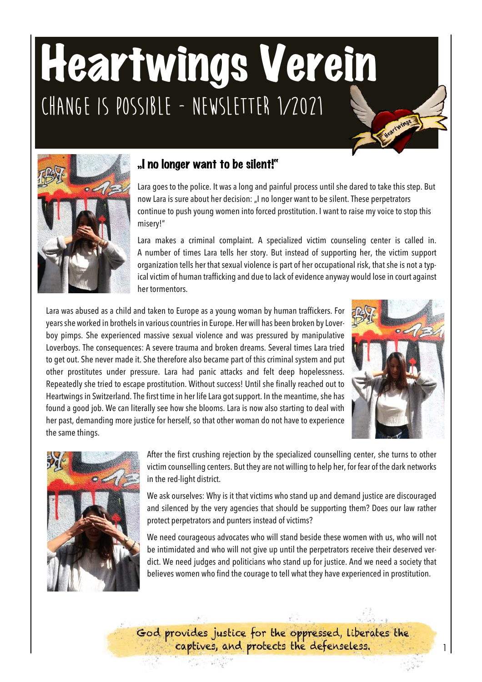# Heartwings Verein **Change is possible - Newsletter 1/2021**Neartwings



## "I no longer want to be silent!"

Lara goes to the police. It was a long and painful process until she dared to take this step. But now Lara is sure about her decision: "I no longer want to be silent. These perpetrators continue to push young women into forced prostitution. I want to raise my voice to stop this misery!"

Lara makes a criminal complaint. A specialized victim counseling center is called in. A number of times Lara tells her story. But instead of supporting her, the victim support organization tells her that sexual violence is part of her occupational risk, that she is not a typical victim of human trafficking and due to lack of evidence anyway would lose in court against her tormentors.

Lara was abused as a child and taken to Europe as a young woman by human traffickers. For years she worked in brothels in various countries in Europe. Her will has been broken by Loverboy pimps. She experienced massive sexual violence and was pressured by manipulative Loverboys. The consequences: A severe trauma and broken dreams. Several times Lara tried to get out. She never made it. She therefore also became part of this criminal system and put other prostitutes under pressure. Lara had panic attacks and felt deep hopelessness. Repeatedly she tried to escape prostitution. Without success! Until she finally reached out to Heartwings in Switzerland. The first time in her life Lara gotsupport. In the meantime, she has found a good job. We can literally see how she blooms. Lara is now also starting to deal with her past, demanding more justice for herself, so that other woman do not have to experience the same things.





After the first crushing rejection by the specialized counselling center, she turns to other victim counselling centers. But they are not willing to help her, for fear of the dark networks in the red-light district.

We ask ourselves: Why is it that victims who stand up and demand justice are discouraged and silenced by the very agencies that should be supporting them? Does our law rather protect perpetrators and punters instead of victims?

We need courageous advocates who will stand beside these women with us, who will not be intimidated and who will not give up until the perpetrators receive their deserved verdict. We need judges and politicians who stand up for justice. And we need a society that believes women who find the courage to tell what they have experienced in prostitution.

God provides justice for the oppressed, liberates the captives, and protects the defenseless.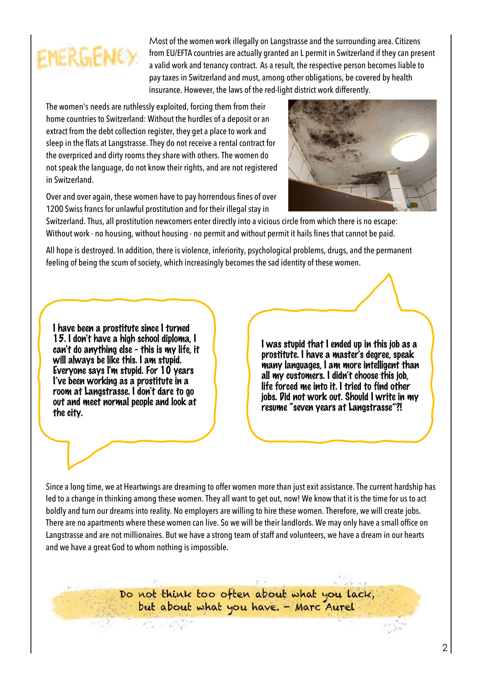

Most of the women work illegally on Langstrasse and the surrounding area. Citizens from EU/EFTA countries are actually granted an L permit in Switzerland if they can present a valid work and tenancy contract. As a result, the respective person becomes liable to pay taxes in Switzerland and must, among other obligations, be covered by health insurance. However, the laws of the red-light district work differently.

The women's needs are ruthlessly exploited, forcing them from their home countries to Switzerland: Without the hurdles of a deposit or an extract from the debt collection register, they get a place to work and sleep in the flats at Langstrasse. They do not receive a rental contract for the overpriced and dirty rooms they share with others. The women do not speak the language, do not know their rights, and are not registered in Switzerland.

Over and over again, these women have to pay horrendous fines of over 1200 Swiss francs for unlawful prostitution and for their illegal stay in



Switzerland. Thus, all prostitution newcomers enter directly into a vicious circle from which there is no escape: Without work - no housing, without housing - no permit and without permit it hails fines that cannot be paid.

All hope is destroyed. In addition, there is violence, inferiority, psychological problems, drugs, and the permanent feeling of being the scum of society, which increasingly becomes the sad identity of these women.

I have been a prostitute since I turned 15. I don't have a high school diploma, I can't do anything else - this is my life, it will always be like this. I am stupid. Everyone says I'm stupid. For 10 years I've been working as a prostitute in a room at Langstrasse. I don't dare to go out and meet normal people and look at the city.

I was stupid that I ended up in this job as a prostitute. I have a master's degree, speak many languages, I am more intelligent than all my customers. I didn't choose this job, life forced me into it. I tried to find other jobs. Did not work out. Should I write in my resume "seven years at Langstrasse"?!

Since a long time, we at Heartwings are dreaming to offer women more than just exit assistance. The current hardship has led to a change in thinking among these women. They all want to get out, now! We know that it is the time for us to act boldly and turn our dreams into reality. No employers are willing to hire these women. Therefore, we will create jobs. There are no apartments where these women can live. So we will be their landlords. We may only have a small office on Langstrasse and are not millionaires. But we have a strong team of staff and volunteers, we have a dream in our hearts and we have a great God to whom nothing is impossible.

> Do not think too often about what you lack, but about what you have. - Marc Aurel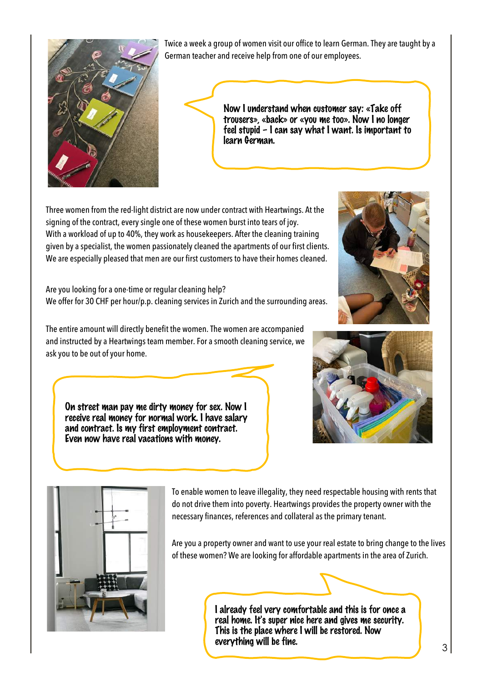

Twice a week a group of women visit our office to learn German. They are taught by a German teacher and receive help from one of our employees.

> Now I understand when customer say: «Take off trousers», «back» or «you me too». Now I no longer feel stupid – I can say what I want. Is important to learn German.

Three women from the red-light district are now under contract with Heartwings. At the signing of the contract, every single one of these women burst into tears of joy. With a workload of up to 40%, they work as housekeepers. After the cleaning training given by a specialist, the women passionately cleaned the apartments of our first clients. We are especially pleased that men are our first customers to have their homes cleaned.

Are you looking for a one-time or regular cleaning help? We offer for 30 CHF per hour/p.p. cleaning services in Zurich and the surrounding areas.

The entire amount will directly benefit the women. The women are accompanied and instructed by a Heartwings team member. For a smooth cleaning service, we ask you to be out of your home.

On street man pay me dirty money for sex. Now I receive real money for normal work. I have salary and contract. Is my first employment contract. Even now have real vacations with money.







To enable women to leave illegality, they need respectable housing with rents that do not drive them into poverty. Heartwings provides the property owner with the necessary finances, references and collateral as the primary tenant.

Are you a property owner and want to use your real estate to bring change to the lives of these women? We are looking for affordable apartments in the area of Zurich.

> I already feel very comfortable and this is for once a real home. It's super nice here and gives me security. This is the place where I will be restored. Now everything will be fine.